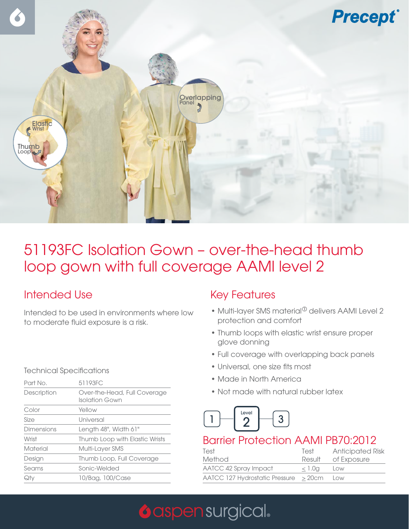

## 51193FC Isolation Gown – over-the-head thumb loop gown with full coverage AAMI level 2

### Intended Use

Intended to be used in environments where low to moderate fluid exposure is a risk.

#### Technical Specifications

| Part No.          | 51193FC                                        |  |
|-------------------|------------------------------------------------|--|
| Description       | Over-the-Head, Full Coverage<br>Isolation Gown |  |
| Color             | Yellow                                         |  |
| Size              | Universal                                      |  |
| <b>Dimensions</b> | Length 48", Width 61"                          |  |
| Wrist             | Thumb Loop with Elastic Wrists                 |  |
| Material          | Multi-Layer SMS                                |  |
| Design            | Thumb Loop, Full Coverage                      |  |
| Seams             | Sonic-Welded                                   |  |
| Qtv               | 10/Bag, 100/Case                               |  |

#### Key Features

- Multi-layer SMS material $^{\circ}$  delivers AAMI Level 2 protection and comfort
- Thumb loops with elastic wrist ensure proper glove donning
- Full coverage with overlapping back panels
- Universal, one size fits most
- Made in North America
- Not made with natural rubber latex



#### Barrier Protection AAMI PB70:2012

| Test<br>Method                               | Test<br>Result | <b>Anticipated Risk</b><br>of Exposure |
|----------------------------------------------|----------------|----------------------------------------|
| AATCC 42 Spray Impact                        | < 1.0a         | LOW                                    |
| $AAICC$ 127 Hydrostatic Pressure $\geq$ 20cm |                | LOW                                    |

# **O** aspen surgical.